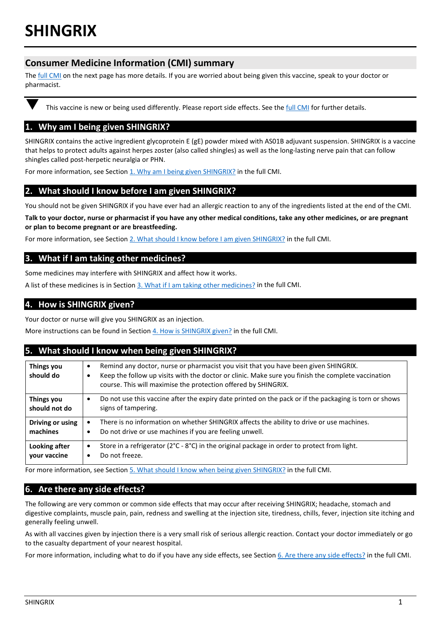# **Consumer Medicine Information (CMI) summary**

The **full CMI** on the next page has more details. If you are worried about being given this vaccine, speak to your doctor or pharmacist.

This vaccine is new or being used differently. Please report side effects. See the [full CMI](#page-1-0) for further details.

# **1. Why am I being given SHINGRIX?**

SHINGRIX contains the active ingredient glycoprotein E (gE) powder mixed with AS01B adjuvant suspension. SHINGRIX is a vaccine that helps to protect adults against herpes zoster (also called shingles) as well as the long-lasting nerve pain that can follow shingles called post-herpetic neuralgia or PHN.

For more information, see Section 1. Why am I being given SHINGRIX? in the full CMI.

# **2. What should I know before I am given SHINGRIX?**

You should not be given SHINGRIX if you have ever had an allergic reaction to any of the ingredients listed at the end of the CMI.

**Talk to your doctor, nurse or pharmacist if you have any other medical conditions, take any other medicines, or are pregnant or plan to become pregnant or are breastfeeding.** 

For more information, see Section [2. What should I know before I am given SHINGRIX?](#page-1-1) in the full CMI.

## **3. What if I am taking other medicines?**

Some medicines may interfere with SHINGRIX and affect how it works.

A list of these medicines is in Section [3. What if I am taking other medicines?](#page-2-0) in the full CMI.

# **4. How is SHINGRIX given?**

Your doctor or nurse will give you SHINGRIX as an injection.

More instructions can be found in Section [4. How is SHINGRIX given?](#page-2-1) in the full CMI.

# **5. What should I know when being given SHINGRIX?**

| Things you<br>should do       | Remind any doctor, nurse or pharmacist you visit that you have been given SHINGRIX.<br>$\bullet$<br>Keep the follow up visits with the doctor or clinic. Make sure you finish the complete vaccination<br>٠<br>course. This will maximise the protection offered by SHINGRIX. |
|-------------------------------|-------------------------------------------------------------------------------------------------------------------------------------------------------------------------------------------------------------------------------------------------------------------------------|
| Things you<br>should not do   | Do not use this vaccine after the expiry date printed on the pack or if the packaging is torn or shows<br>$\bullet$<br>signs of tampering.                                                                                                                                    |
| Driving or using<br>machines  | There is no information on whether SHINGRIX affects the ability to drive or use machines.<br>$\bullet$<br>Do not drive or use machines if you are feeling unwell.<br>$\bullet$                                                                                                |
| Looking after<br>your vaccine | Store in a refrigerator ( $2^{\circ}C - 8^{\circ}C$ ) in the original package in order to protect from light.<br>$\bullet$<br>Do not freeze.<br>$\bullet$                                                                                                                     |

For more information, see Section [5. What should I know when being given SHINGRIX?](#page-2-2) in the full CMI.

# **6. Are there any side effects?**

The following are very common or common side effects that may occur after receiving SHINGRIX; headache, stomach and digestive complaints, muscle pain, pain, redness and swelling at the injection site, tiredness, chills, fever, injection site itching and generally feeling unwell.

As with all vaccines given by injection there is a very small risk of serious allergic reaction. Contact your doctor immediately or go to the casualty department of your nearest hospital.

For more information, including what to do if you have any side effects, see Section [6. Are there any side effects?](#page-3-0) in the full CMI.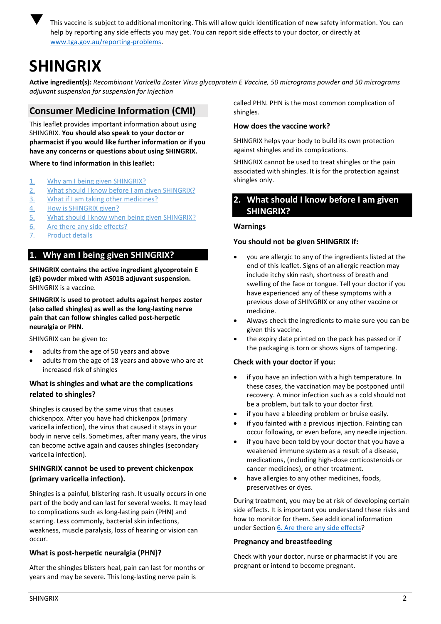

 This vaccine is subject to additional monitoring. This will allow quick identification of new safety information. You can help by reporting any side effects you may get. You can report side effects to your doctor, or directly at [www.tga.gov.au/reporting-problems.](http://www.tga.gov.au/reporting-problems)

# <span id="page-1-0"></span>**SHINGRIX**

**Active ingredient(s):** *Recombinant Varicella Zoster Virus glycoprotein E Vaccine, 50 micrograms powder and 50 micrograms adjuvant suspension for suspension for injection*

# **Consumer Medicine Information (CMI)**

This leaflet provides important information about using SHINGRIX. **You should also speak to your doctor or pharmacist if you would like further information or if you have any concerns or questions about using SHINGRIX.**

**Where to find information in this leaflet:**

- 1. [Why am I being given SHINGRIX?](#page-1-2)
- 2. [What should I know before I](#page-1-1) am given SHINGRIX?
- 3. [What if I am taking other medicines?](#page-2-0)
- 4. [How is SHINGRIX given?](#page-2-1)
- 5. [What should I know when being given SHINGRIX?](#page-2-2)
- 6. [Are there any side effects?](#page-3-0)
- 7. [Product details](#page-4-0)

# <span id="page-1-2"></span>**1. Why am I being given SHINGRIX?**

**SHINGRIX contains the active ingredient glycoprotein E (gE) powder mixed with AS01B adjuvant suspension.**  SHINGRIX is a vaccine.

**SHINGRIX is used to protect adults against herpes zoster (also called shingles) as well as the long-lasting nerve pain that can follow shingles called post-herpetic neuralgia or PHN.**

SHINGRIX can be given to:

- adults from the age of 50 years and above
- adults from the age of 18 years and above who are at increased risk of shingles

# **What is shingles and what are the complications related to shingles?**

Shingles is caused by the same virus that causes chickenpox. After you have had chickenpox (primary varicella infection), the virus that caused it stays in your body in nerve cells. Sometimes, after many years, the virus can become active again and causes shingles (secondary varicella infection).

## **SHINGRIX cannot be used to prevent chickenpox (primary varicella infection).**

Shingles is a painful, blistering rash. It usually occurs in one part of the body and can last for several weeks. It may lead to complications such as long-lasting pain (PHN) and scarring. Less commonly, bacterial skin infections, weakness, muscle paralysis, loss of hearing or vision can occur.

# **What is post-herpetic neuralgia (PHN)?**

After the shingles blisters heal, pain can last for months or years and may be severe. This long-lasting nerve pain is

called PHN. PHN is the most common complication of shingles.

## **How does the vaccine work?**

SHINGRIX helps your body to build its own protection against shingles and its complications.

SHINGRIX cannot be used to treat shingles or the pain associated with shingles. It is for the protection against shingles only.

# <span id="page-1-1"></span>**2. What should I know before I am given SHINGRIX?**

## **Warnings**

## **You should not be given SHINGRIX if:**

- you are allergic to any of the ingredients listed at the end of this leaflet. Signs of an allergic reaction may include itchy skin rash, shortness of breath and swelling of the face or tongue. Tell your doctor if you have experienced any of these symptoms with a previous dose of SHINGRIX or any other vaccine or medicine.
- Always check the ingredients to make sure you can be given this vaccine.
- the expiry date printed on the pack has passed or if the packaging is torn or shows signs of tampering.

## **Check with your doctor if you:**

- if you have an infection with a high temperature. In these cases, the vaccination may be postponed until recovery. A minor infection such as a cold should not be a problem, but talk to your doctor first.
- if you have a bleeding problem or bruise easily.
- if you fainted with a previous injection. Fainting can occur following, or even before, any needle injection.
- if you have been told by your doctor that you have a weakened immune system as a result of a disease, medications, (including high-dose corticosteroids or cancer medicines), or other treatment.
- have allergies to any other medicines, foods, preservatives or dyes.

During treatment, you may be at risk of developing certain side effects. It is important you understand these risks and how to monitor for them. See additional information under Section [6. Are there any side effects?](#page-3-0)

## **Pregnancy and breastfeeding**

Check with your doctor, nurse or pharmacist if you are pregnant or intend to become pregnant.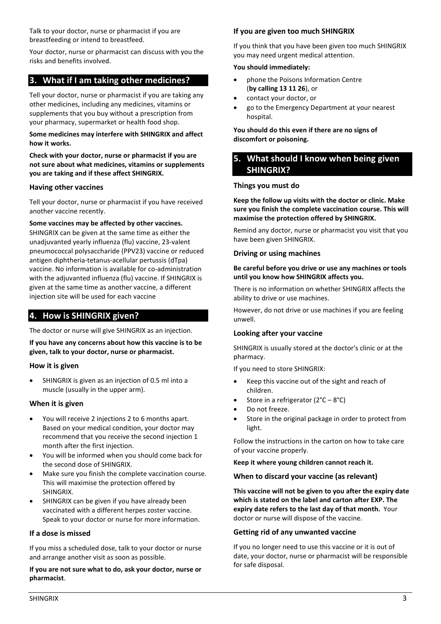Talk to your doctor, nurse or pharmacist if you are breastfeeding or intend to breastfeed.

Your doctor, nurse or pharmacist can discuss with you the risks and benefits involved.

# <span id="page-2-0"></span>**3. What if I am taking other medicines?**

Tell your doctor, nurse or pharmacist if you are taking any other medicines, including any medicines, vitamins or supplements that you buy without a prescription from your pharmacy, supermarket or health food shop.

#### **Some medicines may interfere with SHINGRIX and affect how it works.**

**Check with your doctor, nurse or pharmacist if you are not sure about what medicines, vitamins or supplements you are taking and if these affect SHINGRIX.**

#### **Having other vaccines**

Tell your doctor, nurse or pharmacist if you have received another vaccine recently.

**Some vaccines may be affected by other vaccines.**

SHINGRIX can be given at the same time as either the unadjuvanted yearly influenza (flu) vaccine, 23-valent pneumococcal polysaccharide (PPV23) vaccine or reduced antigen diphtheria-tetanus-acellular pertussis (dTpa) vaccine. No information is available for co-administration with the adjuvanted influenza (flu) vaccine. If SHINGRIX is given at the same time as another vaccine, a different injection site will be used for each vaccine

# <span id="page-2-1"></span>**4. How is SHINGRIX given?**

The doctor or nurse will give SHINGRIX as an injection.

**If you have any concerns about how this vaccine is to be given, talk to your doctor, nurse or pharmacist.**

#### **How it is given**

• SHINGRIX is given as an injection of 0.5 ml into a muscle (usually in the upper arm).

#### **When it is given**

- You will receive 2 injections 2 to 6 months apart. Based on your medical condition, your doctor may recommend that you receive the second injection 1 month after the first injection.
- You will be informed when you should come back for the second dose of SHINGRIX.
- Make sure you finish the complete vaccination course. This will maximise the protection offered by SHINGRIX.
- SHINGRIX can be given if you have already been vaccinated with a different herpes zoster vaccine. Speak to your doctor or nurse for more information.

#### **If a dose is missed**

If you miss a scheduled dose, talk to your doctor or nurse and arrange another visit as soon as possible.

#### **If you are not sure what to do, ask your doctor, nurse or pharmacist**.

#### **If you are given too much SHINGRIX**

If you think that you have been given too much SHINGRIX you may need urgent medical attention.

#### **You should immediately:**

- phone the Poisons Information Centre (**by calling 13 11 26**), or
- contact your doctor, or
- go to the Emergency Department at your nearest hospital.

#### **You should do this even if there are no signs of discomfort or poisoning.**

# <span id="page-2-2"></span>**5. What should I know when being given SHINGRIX?**

#### **Things you must do**

**Keep the follow up visits with the doctor or clinic. Make sure you finish the complete vaccination course. This will maximise the protection offered by SHINGRIX.** 

Remind any doctor, nurse or pharmacist you visit that you have been given SHINGRIX.

#### **Driving or using machines**

#### **Be careful before you drive or use any machines or tools until you know how SHINGRIX affects you.**

There is no information on whether SHINGRIX affects the ability to drive or use machines.

However, do not drive or use machines if you are feeling unwell.

#### **Looking after your vaccine**

SHINGRIX is usually stored at the doctor's clinic or at the pharmacy.

If you need to store SHINGRIX:

- Keep this vaccine out of the sight and reach of children.
- Store in a refrigerator  $(2^{\circ}C 8^{\circ}C)$
- Do not freeze.
- Store in the original package in order to protect from light.

Follow the instructions in the carton on how to take care of your vaccine properly.

**Keep it where young children cannot reach it.**

#### **When to discard your vaccine (as relevant)**

**This vaccine will not be given to you after the expiry date which is stated on the label and carton after EXP. The expiry date refers to the last day of that month.** Your doctor or nurse will dispose of the vaccine.

#### **Getting rid of any unwanted vaccine**

If you no longer need to use this vaccine or it is out of date, your doctor, nurse or pharmacist will be responsible for safe disposal.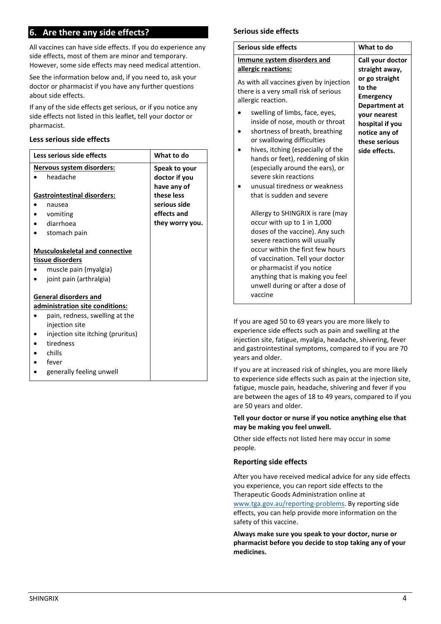# <span id="page-3-0"></span>**6. Are there any side effects?**

All vaccines can have side effects. If you do experience any side effects, most of them are minor and temporary. However, some side effects may need medical attention.

See the information below and, if you need to, ask your doctor or pharmacist if you have any further questions about side effects.

If any of the side effects get serious, or if you notice any side effects not listed in this leaflet, tell your doctor or pharmacist.

#### **Less serious side effects**

| Less serious side effects             | What to do      |
|---------------------------------------|-----------------|
| Nervous system disorders:             | Speak to your   |
| headache                              | doctor if you   |
|                                       | have any of     |
| <b>Gastrointestinal disorders:</b>    | these less      |
| nausea                                | serious side    |
| vomiting                              | effects and     |
| diarrhoea                             | they worry you. |
| stomach pain                          |                 |
|                                       |                 |
| <b>Musculoskeletal and connective</b> |                 |
| tissue disorders                      |                 |
| muscle pain (myalgia)                 |                 |
| joint pain (arthralgia)<br>$\bullet$  |                 |
|                                       |                 |
| <b>General disorders and</b>          |                 |
| administration site conditions:       |                 |
| pain, redness, swelling at the        |                 |
| injection site                        |                 |
| injection site itching (pruritus)     |                 |
| tiredness                             |                 |
| chills                                |                 |
| fever                                 |                 |
| generally feeling unwell              |                 |

#### **Serious side effects**

| Serious side effects                                                                                                                                                                                                                                                                                                          | What to do                                                                                                                                              |
|-------------------------------------------------------------------------------------------------------------------------------------------------------------------------------------------------------------------------------------------------------------------------------------------------------------------------------|---------------------------------------------------------------------------------------------------------------------------------------------------------|
| Immune system disorders and<br>allergic reactions:<br>As with all vaccines given by injection<br>there is a very small risk of serious<br>allergic reaction.<br>swelling of limbs, face, eyes,<br>inside of nose, mouth or throat<br>shortness of breath, breathing                                                           | Call your doctor<br>straight away,<br>or go straight<br>to the<br><b>Emergency</b><br>Department at<br>your nearest<br>hospital if you<br>notice any of |
| or swallowing difficulties<br>hives, itching (especially of the<br>hands or feet), reddening of skin<br>(especially around the ears), or<br>severe skin reactions<br>unusual tiredness or weakness<br>that is sudden and severe                                                                                               | these serious<br>side effects.                                                                                                                          |
| Allergy to SHINGRIX is rare (may<br>occur with up to 1 in 1,000<br>doses of the vaccine). Any such<br>severe reactions will usually<br>occur within the first few hours<br>of vaccination. Tell your doctor<br>or pharmacist if you notice<br>anything that is making you feel<br>unwell during or after a dose of<br>vaccine |                                                                                                                                                         |

If you are aged 50 to 69 years you are more likely to experience side effects such as pain and swelling at the injection site, fatigue, myalgia, headache, shivering, fever and gastrointestinal symptoms, compared to if you are 70 years and older.

If you are at increased risk of shingles, you are more likely to experience side effects such as pain at the injection site, fatigue, muscle pain, headache, shivering and fever if you are between the ages of 18 to 49 years, compared to if you are 50 years and older.

#### **Tell your doctor or nurse if you notice anything else that may be making you feel unwell.**

Other side effects not listed here may occur in some people.

#### **Reporting side effects**

After you have received medical advice for any side effects you experience, you can report side effects to the Therapeutic Goods Administration online at [www.tga.gov.au/reporting-problems.](http://www.tga.gov.au/reporting-problems) By reporting side effects, you can help provide more information on the safety of this vaccine.

**Always make sure you speak to your doctor, nurse or pharmacist before you decide to stop taking any of your medicines.**